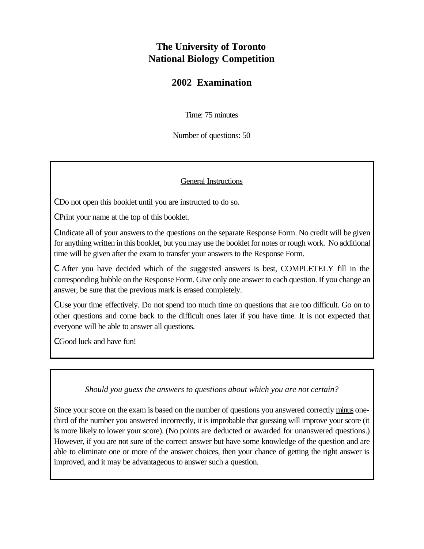## **The University of Toronto National Biology Competition**

## **2002 Examination**

Time: 75 minutes

Number of questions: 50

## General Instructions

C Do not open this booklet until you are instructed to do so.

C Print your name at the top of this booklet.

C Indicate all of your answers to the questions on the separate Response Form. No credit will be given for anything written in this booklet, but you may use the booklet for notes or rough work. No additional time will be given after the exam to transfer your answers to the Response Form.

C After you have decided which of the suggested answers is best, COMPLETELY fill in the corresponding bubble on the Response Form. Give only one answer to each question. If you change an answer, be sure that the previous mark is erased completely.

C Use your time effectively. Do not spend too much time on questions that are too difficult. Go on to other questions and come back to the difficult ones later if you have time. It is not expected that everyone will be able to answer all questions.

C Good luck and have fun!

## *Should you guess the answers to questions about which you are not certain?*

Since your score on the exam is based on the number of questions you answered correctly minus onethird of the number you answered incorrectly, it is improbable that guessing will improve your score (it is more likely to lower your score). (No points are deducted or awarded for unanswered questions.) However, if you are not sure of the correct answer but have some knowledge of the question and are able to eliminate one or more of the answer choices, then your chance of getting the right answer is improved, and it may be advantageous to answer such a question.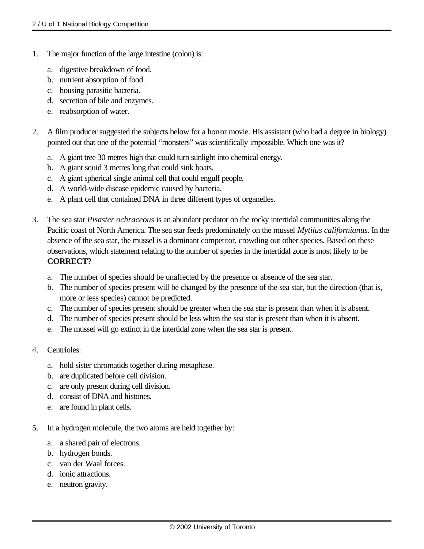- 1. The major function of the large intestine (colon) is:
	- a. digestive breakdown of food.
	- b. nutrient absorption of food.
	- c. housing parasitic bacteria.
	- d. secretion of bile and enzymes.
	- e. reabsorption of water.
- 2. A film producer suggested the subjects below for a horror movie. His assistant (who had a degree in biology) pointed out that one of the potential "monsters" was scientifically impossible. Which one was it?
	- a. A giant tree 30 metres high that could turn sunlight into chemical energy.
	- b. A giant squid 3 metres long that could sink boats.
	- c. A giant spherical single animal cell that could engulf people.
	- d. A world-wide disease epidemic caused by bacteria.
	- e. A plant cell that contained DNA in three different types of organelles.
- 3. The sea star *Pisaster ochraceous* is an abundant predator on the rocky intertidal communities along the Pacific coast of North America. The sea star feeds predominately on the mussel *Mytilus californianus*. In the absence of the sea star, the mussel is a dominant competitor, crowding out other species. Based on these observations, which statement relating to the number of species in the intertidal zone is most likely to be **CORRECT**?
	- a. The number of species should be unaffected by the presence or absence of the sea star.
	- b. The number of species present will be changed by the presence of the sea star, but the direction (that is, more or less species) cannot be predicted.
	- c. The number of species present should be greater when the sea star is present than when it is absent.
	- d. The number of species present should be less when the sea star is present than when it is absent.
	- e. The mussel will go extinct in the intertidal zone when the sea star is present.
- 4. Centrioles:
	- a. hold sister chromatids together during metaphase.
	- b. are duplicated before cell division.
	- c. are only present during cell division.
	- d. consist of DNA and histones.
	- e. are found in plant cells.
- 5. In a hydrogen molecule, the two atoms are held together by:
	- a. a shared pair of electrons.
	- b. hydrogen bonds.
	- c. van der Waal forces.
	- d. ionic attractions.
	- e. neutron gravity.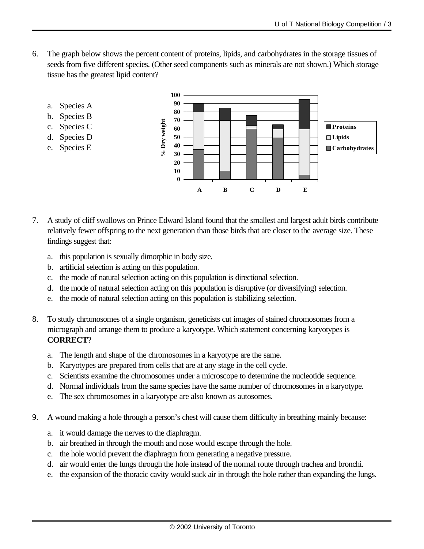6. The graph below shows the percent content of proteins, lipids, and carbohydrates in the storage tissues of seeds from five different species. (Other seed components such as minerals are not shown.) Which storage tissue has the greatest lipid content?



- b. Species B
- c. Species C
- d. Species D e. Species E



- 7. A study of cliff swallows on Prince Edward Island found that the smallest and largest adult birds contribute relatively fewer offspring to the next generation than those birds that are closer to the average size. These findings suggest that:
	- a. this population is sexually dimorphic in body size.
	- b. artificial selection is acting on this population.
	- c. the mode of natural selection acting on this population is directional selection.
	- d. the mode of natural selection acting on this population is disruptive (or diversifying) selection.
	- e. the mode of natural selection acting on this population is stabilizing selection.
- 8. To study chromosomes of a single organism, geneticists cut images of stained chromosomes from a micrograph and arrange them to produce a karyotype. Which statement concerning karyotypes is **CORRECT**?
	- a. The length and shape of the chromosomes in a karyotype are the same.
	- b. Karyotypes are prepared from cells that are at any stage in the cell cycle.
	- c. Scientists examine the chromosomes under a microscope to determine the nucleotide sequence.
	- d. Normal individuals from the same species have the same number of chromosomes in a karyotype.
	- e. The sex chromosomes in a karyotype are also known as autosomes.
- 9. A wound making a hole through a person's chest will cause them difficulty in breathing mainly because:
	- a. it would damage the nerves to the diaphragm.
	- b. air breathed in through the mouth and nose would escape through the hole.
	- c. the hole would prevent the diaphragm from generating a negative pressure.
	- d. air would enter the lungs through the hole instead of the normal route through trachea and bronchi.
	- e. the expansion of the thoracic cavity would suck air in through the hole rather than expanding the lungs.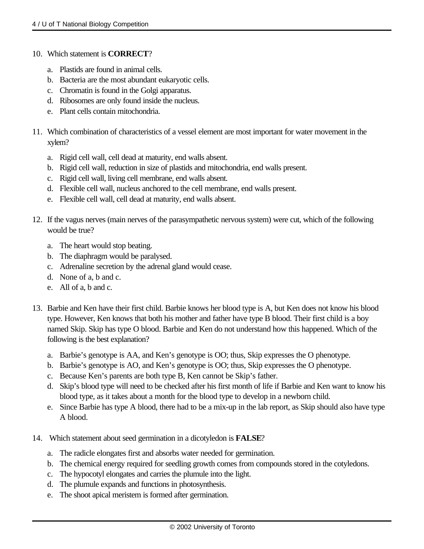- 10. Which statement is **CORRECT**?
	- a. Plastids are found in animal cells.
	- b. Bacteria are the most abundant eukaryotic cells.
	- c. Chromatin is found in the Golgi apparatus.
	- d. Ribosomes are only found inside the nucleus.
	- e. Plant cells contain mitochondria.
- 11. Which combination of characteristics of a vessel element are most important for water movement in the xylem?
	- a. Rigid cell wall, cell dead at maturity, end walls absent.
	- b. Rigid cell wall, reduction in size of plastids and mitochondria, end walls present.
	- c. Rigid cell wall, living cell membrane, end walls absent.
	- d. Flexible cell wall, nucleus anchored to the cell membrane, end walls present.
	- e. Flexible cell wall, cell dead at maturity, end walls absent.
- 12. If the vagus nerves (main nerves of the parasympathetic nervous system) were cut, which of the following would be true?
	- a. The heart would stop beating.
	- b. The diaphragm would be paralysed.
	- c. Adrenaline secretion by the adrenal gland would cease.
	- d. None of a, b and c.
	- e. All of a, b and c.
- 13. Barbie and Ken have their first child. Barbie knows her blood type is A, but Ken does not know his blood type. However, Ken knows that both his mother and father have type B blood. Their first child is a boy named Skip. Skip has type O blood. Barbie and Ken do not understand how this happened. Which of the following is the best explanation?
	- a. Barbie's genotype is AA, and Ken's genotype is OO; thus, Skip expresses the O phenotype.
	- b. Barbie's genotype is AO, and Ken's genotype is OO; thus, Skip expresses the O phenotype.
	- c. Because Ken's parents are both type B, Ken cannot be Skip's father.
	- d. Skip's blood type will need to be checked after his first month of life if Barbie and Ken want to know his blood type, as it takes about a month for the blood type to develop in a newborn child.
	- e. Since Barbie has type A blood, there had to be a mix-up in the lab report, as Skip should also have type A blood.
- 14. Which statement about seed germination in a dicotyledon is **FALSE**?
	- a. The radicle elongates first and absorbs water needed for germination.
	- b. The chemical energy required for seedling growth comes from compounds stored in the cotyledons.
	- c. The hypocotyl elongates and carries the plumule into the light.
	- d. The plumule expands and functions in photosynthesis.
	- e. The shoot apical meristem is formed after germination.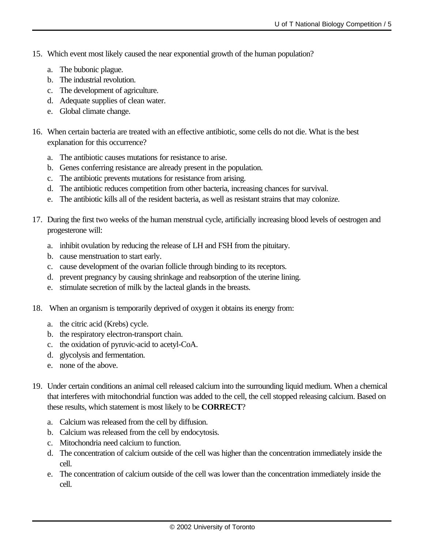- 15. Which event most likely caused the near exponential growth of the human population?
	- a. The bubonic plague.
	- b. The industrial revolution.
	- c. The development of agriculture.
	- d. Adequate supplies of clean water.
	- e. Global climate change.
- 16. When certain bacteria are treated with an effective antibiotic, some cells do not die. What is the best explanation for this occurrence?
	- a. The antibiotic causes mutations for resistance to arise.
	- b. Genes conferring resistance are already present in the population.
	- c. The antibiotic prevents mutations for resistance from arising.
	- d. The antibiotic reduces competition from other bacteria, increasing chances for survival.
	- e. The antibiotic kills all of the resident bacteria, as well as resistant strains that may colonize.
- 17. During the first two weeks of the human menstrual cycle, artificially increasing blood levels of oestrogen and progesterone will:
	- a. inhibit ovulation by reducing the release of LH and FSH from the pituitary.
	- b. cause menstruation to start early.
	- c. cause development of the ovarian follicle through binding to its receptors.
	- d. prevent pregnancy by causing shrinkage and reabsorption of the uterine lining.
	- e. stimulate secretion of milk by the lacteal glands in the breasts.
- 18. When an organism is temporarily deprived of oxygen it obtains its energy from:
	- a. the citric acid (Krebs) cycle.
	- b. the respiratory electron-transport chain.
	- c. the oxidation of pyruvic-acid to acetyl-CoA.
	- d. glycolysis and fermentation.
	- e. none of the above.
- 19. Under certain conditions an animal cell released calcium into the surrounding liquid medium. When a chemical that interferes with mitochondrial function was added to the cell, the cell stopped releasing calcium. Based on these results, which statement is most likely to be **CORRECT**?
	- a. Calcium was released from the cell by diffusion.
	- b. Calcium was released from the cell by endocytosis.
	- c. Mitochondria need calcium to function.
	- d. The concentration of calcium outside of the cell was higher than the concentration immediately inside the cell.
	- e. The concentration of calcium outside of the cell was lower than the concentration immediately inside the cell.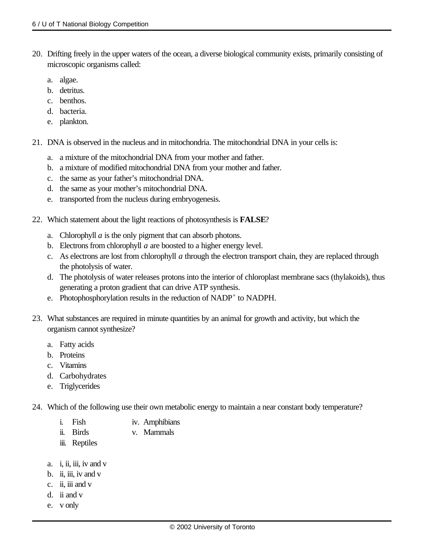- 20. Drifting freely in the upper waters of the ocean, a diverse biological community exists, primarily consisting of microscopic organisms called:
	- a. algae.
	- b. detritus.
	- c. benthos.
	- d. bacteria.
	- e. plankton.
- 21. DNA is observed in the nucleus and in mitochondria. The mitochondrial DNA in your cells is:
	- a. a mixture of the mitochondrial DNA from your mother and father.
	- b. a mixture of modified mitochondrial DNA from your mother and father.
	- c. the same as your father's mitochondrial DNA.
	- d. the same as your mother's mitochondrial DNA.
	- e. transported from the nucleus during embryogenesis.
- 22. Which statement about the light reactions of photosynthesis is **FALSE**?
	- a. Chlorophyll *a* is the only pigment that can absorb photons.
	- b. Electrons from chlorophyll *a* are boosted to a higher energy level.
	- c. As electrons are lost from chlorophyll *a* through the electron transport chain, they are replaced through the photolysis of water.
	- d. The photolysis of water releases protons into the interior of chloroplast membrane sacs (thylakoids), thus generating a proton gradient that can drive ATP synthesis.
	- e. Photophosphorylation results in the reduction of NADP<sup>+</sup> to NADPH.
- 23. What substances are required in minute quantities by an animal for growth and activity, but which the organism cannot synthesize?
	- a. Fatty acids
	- b. Proteins
	- c. Vitamins
	- d. Carbohydrates
	- e. Triglycerides
- 24. Which of the following use their own metabolic energy to maintain a near constant body temperature?
	- i. Fish iv. Amphibians
	- ii. Birds v. Mammals
	- iii. Reptiles
	- a. i, ii, iii, iv and  $v$
	- b. ii, iii, iv and v
	- c. ii, iii and v
	- d. ii and v
	- e. v only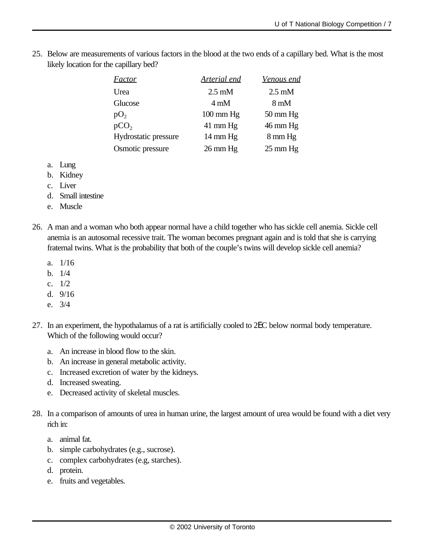25. Below are measurements of various factors in the blood at the two ends of a capillary bed. What is the most likely location for the capillary bed?

| <i>Factor</i>        | <b>Arterial end</b> | <u>Venous end</u>  |
|----------------------|---------------------|--------------------|
| Urea                 | $2.5 \text{ mM}$    | $2.5 \text{ mM}$   |
| Glucose              | $4 \text{ mM}$      | $8 \text{ mM}$     |
| pO <sub>2</sub>      | $100 \text{ mm Hg}$ | $50 \text{ mm Hg}$ |
| pCO <sub>2</sub>     | $41 \text{ mm Hg}$  | $46 \text{ mm Hg}$ |
| Hydrostatic pressure | $14 \text{ mm Hg}$  | 8 mm Hg            |
| Osmotic pressure     | $26 \text{ mm Hg}$  | $25 \text{ mm Hg}$ |

- a. Lung
- b. Kidney
- c. Liver
- d. Small intestine
- e. Muscle
- 26. A man and a woman who both appear normal have a child together who has sickle cell anemia. Sickle cell anemia is an autosomal recessive trait. The woman becomes pregnant again and is told that she is carrying fraternal twins. What is the probability that both of the couple's twins will develop sickle cell anemia?
	- a. 1/16
	- b. 1/4
	- c. 1/2
	- d. 9/16
	- e. 3/4
- 27. In an experiment, the hypothalamus of a rat is artificially cooled to 2EC below normal body temperature. Which of the following would occur?
	- a. An increase in blood flow to the skin.
	- b. An increase in general metabolic activity.
	- c. Increased excretion of water by the kidneys.
	- d. Increased sweating.
	- e. Decreased activity of skeletal muscles.
- 28. In a comparison of amounts of urea in human urine, the largest amount of urea would be found with a diet very rich in:
	- a. animal fat.
	- b. simple carbohydrates (e.g., sucrose).
	- c. complex carbohydrates (e.g, starches).
	- d. protein.
	- e. fruits and vegetables.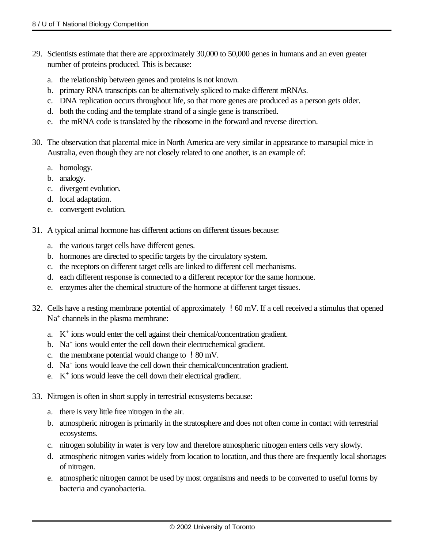- 29. Scientists estimate that there are approximately 30,000 to 50,000 genes in humans and an even greater number of proteins produced. This is because:
	- a. the relationship between genes and proteins is not known.
	- b. primary RNA transcripts can be alternatively spliced to make different mRNAs.
	- c. DNA replication occurs throughout life, so that more genes are produced as a person gets older.
	- d. both the coding and the template strand of a single gene is transcribed.
	- e. the mRNA code is translated by the ribosome in the forward and reverse direction.
- 30. The observation that placental mice in North America are very similar in appearance to marsupial mice in Australia, even though they are not closely related to one another, is an example of:
	- a. homology.
	- b. analogy.
	- c. divergent evolution.
	- d. local adaptation.
	- e. convergent evolution.
- 31. A typical animal hormone has different actions on different tissues because:
	- a. the various target cells have different genes.
	- b. hormones are directed to specific targets by the circulatory system.
	- c. the receptors on different target cells are linked to different cell mechanisms.
	- d. each different response is connected to a different receptor for the same hormone.
	- e. enzymes alter the chemical structure of the hormone at different target tissues.
- 32. Cells have a resting membrane potential of approximately !60 mV. If a cell received a stimulus that opened Na<sup>+</sup> channels in the plasma membrane:
	- a. K + ions would enter the cell against their chemical/concentration gradient.
	- b. Na<sup>+</sup> ions would enter the cell down their electrochemical gradient.
	- c. the membrane potential would change to !80 mV.
	- d. Na<sup>+</sup> ions would leave the cell down their chemical/concentration gradient.
	- e. K<sup>+</sup> ions would leave the cell down their electrical gradient.
- 33. Nitrogen is often in short supply in terrestrial ecosystems because:
	- a. there is very little free nitrogen in the air.
	- b. atmospheric nitrogen is primarily in the stratosphere and does not often come in contact with terrestrial ecosystems.
	- c. nitrogen solubility in water is very low and therefore atmospheric nitrogen enters cells very slowly.
	- d. atmospheric nitrogen varies widely from location to location, and thus there are frequently local shortages of nitrogen.
	- e. atmospheric nitrogen cannot be used by most organisms and needs to be converted to useful forms by bacteria and cyanobacteria.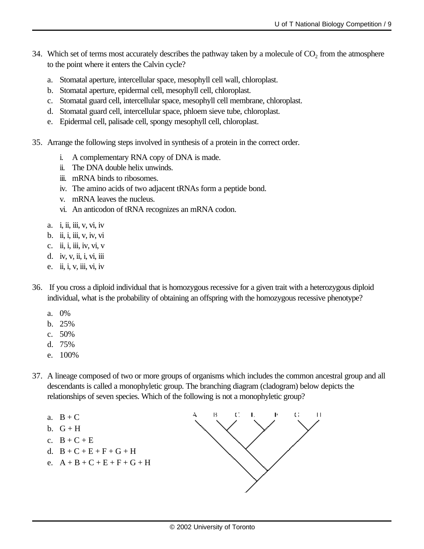- 34. Which set of terms most accurately describes the pathway taken by a molecule of  $CO<sub>2</sub>$  from the atmosphere to the point where it enters the Calvin cycle?
	- a. Stomatal aperture, intercellular space, mesophyll cell wall, chloroplast.
	- b. Stomatal aperture, epidermal cell, mesophyll cell, chloroplast.
	- c. Stomatal guard cell, intercellular space, mesophyll cell membrane, chloroplast.
	- d. Stomatal guard cell, intercellular space, phloem sieve tube, chloroplast.
	- e. Epidermal cell, palisade cell, spongy mesophyll cell, chloroplast.
- 35. Arrange the following steps involved in synthesis of a protein in the correct order.
	- i. A complementary RNA copy of DNA is made.
	- ii. The DNA double helix unwinds.
	- iii. mRNA binds to ribosomes.
	- iv. The amino acids of two adjacent tRNAs form a peptide bond.
	- v. mRNA leaves the nucleus.
	- vi. An anticodon of tRNA recognizes an mRNA codon.
	- a. i, ii, iii, v, vi, iv
	- b. ii, i, iii, v, iv, vi
	- c. ii, i, iii, iv, vi, v
	- d. iv, v, ii, i, vi, iii
	- e. ii, i, v, iii, vi, iv
- 36. If you cross a diploid individual that is homozygous recessive for a given trait with a heterozygous diploid individual, what is the probability of obtaining an offspring with the homozygous recessive phenotype?
	- a. 0%
	- b. 25%
	- c. 50%
	- d. 75%
	- e. 100%
- 37. A lineage composed of two or more groups of organisms which includes the common ancestral group and all descendants is called a monophyletic group. The branching diagram (cladogram) below depicts the relationships of seven species. Which of the following is not a monophyletic group?
	- a.  $B + C$
	- b.  $G + H$
	- c.  $B + C + E$
	- d.  $B + C + E + F + G + H$
	- e.  $A + B + C + E + F + G + H$

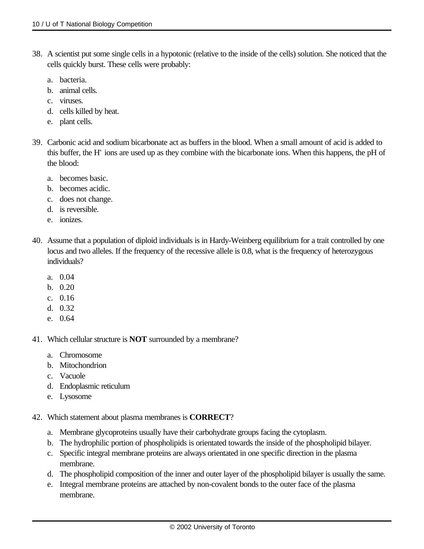- 38. A scientist put some single cells in a hypotonic (relative to the inside of the cells) solution. She noticed that the cells quickly burst. These cells were probably:
	- a. bacteria.
	- b. animal cells.
	- c. viruses.
	- d. cells killed by heat.
	- e. plant cells.
- 39. Carbonic acid and sodium bicarbonate act as buffers in the blood. When a small amount of acid is added to this buffer, the H<sup>+</sup> ions are used up as they combine with the bicarbonate ions. When this happens, the pH of the blood:
	- a. becomes basic.
	- b. becomes acidic.
	- c. does not change.
	- d. is reversible.
	- e. ionizes.
- 40. Assume that a population of diploid individuals is in Hardy-Weinberg equilibrium for a trait controlled by one locus and two alleles. If the frequency of the recessive allele is 0.8, what is the frequency of heterozygous individuals?
	- a. 0.04
	- b. 0.20
	- c. 0.16
	- d. 0.32
	- e. 0.64
- 41. Which cellular structure is **NOT** surrounded by a membrane?
	- a. Chromosome
	- b. Mitochondrion
	- c. Vacuole
	- d. Endoplasmic reticulum
	- e. Lysosome
- 42. Which statement about plasma membranes is **CORRECT**?
	- a. Membrane glycoproteins usually have their carbohydrate groups facing the cytoplasm.
	- b. The hydrophilic portion of phospholipids is orientated towards the inside of the phospholipid bilayer.
	- c. Specific integral membrane proteins are always orientated in one specific direction in the plasma membrane.
	- d. The phospholipid composition of the inner and outer layer of the phospholipid bilayer is usually the same.
	- e. Integral membrane proteins are attached by non-covalent bonds to the outer face of the plasma membrane.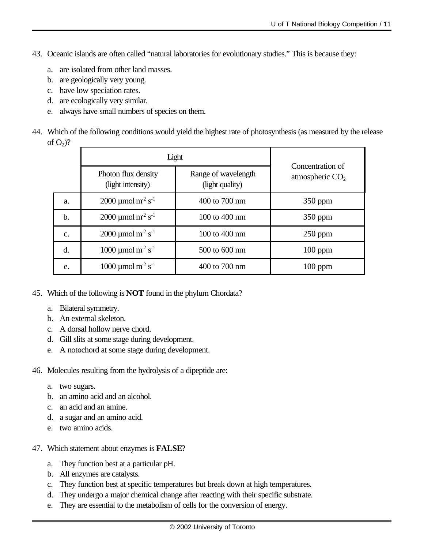- 43. Oceanic islands are often called "natural laboratories for evolutionary studies." This is because they:
	- a. are isolated from other land masses.
	- b. are geologically very young.
	- c. have low speciation rates.
	- d. are ecologically very similar.
	- e. always have small numbers of species on them.
- 44. Which of the following conditions would yield the highest rate of photosynthesis (as measured by the release of  $O_2$ ?

|                | Light                                         |                                        |                                       |
|----------------|-----------------------------------------------|----------------------------------------|---------------------------------------|
|                | Photon flux density<br>(light intensity)      | Range of wavelength<br>(light quality) | Concentration of<br>atmospheric $CO2$ |
| a.             | 2000 µmol m <sup>2</sup> s <sup>-1</sup>      | 400 to 700 nm                          | $350$ ppm                             |
| $\mathbf b$ .  | $2000 \mu$ mol m <sup>2</sup> s <sup>-1</sup> | 100 to 400 nm                          | $350$ ppm                             |
| $\mathbf{c}$ . | 2000 µmol m <sup>2</sup> s <sup>-1</sup>      | 100 to 400 nm                          | $250$ ppm                             |
| d.             | $1000 \mu$ mol m <sup>2</sup> s <sup>-1</sup> | 500 to 600 nm                          | $100$ ppm                             |
| e.             | $1000 \mu$ mol m <sup>2</sup> s <sup>-1</sup> | 400 to 700 nm                          | $100$ ppm                             |

- 45. Which of the following is **NOT** found in the phylum Chordata?
	- a. Bilateral symmetry.
	- b. An external skeleton.
	- c. A dorsal hollow nerve chord.
	- d. Gill slits at some stage during development.
	- e. A notochord at some stage during development.

46. Molecules resulting from the hydrolysis of a dipeptide are:

- a. two sugars.
- b. an amino acid and an alcohol.
- c. an acid and an amine.
- d. a sugar and an amino acid.
- e. two amino acids.
- 47. Which statement about enzymes is **FALSE**?
	- a. They function best at a particular pH.
	- b. All enzymes are catalysts.
	- c. They function best at specific temperatures but break down at high temperatures.
	- d. They undergo a major chemical change after reacting with their specific substrate.
	- e. They are essential to the metabolism of cells for the conversion of energy.